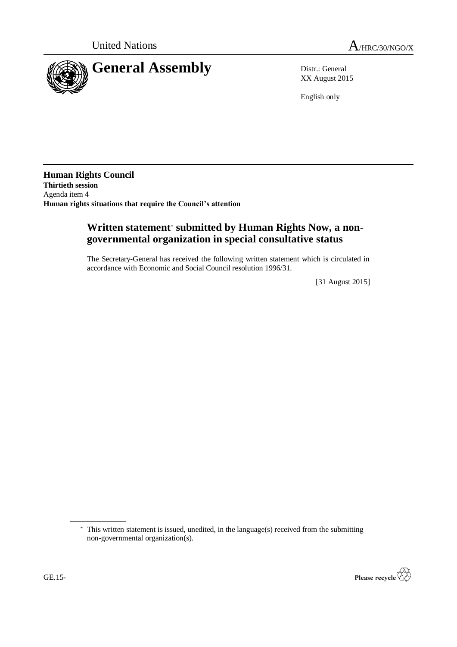

XX August 2015

English only

**Human Rights Council Thirtieth session** Agenda item 4 **Human rights situations that require the Council's attention**

# **Written statement**\* **submitted by Human Rights Now, a nongovernmental organization in special consultative status**

The Secretary-General has received the following written statement which is circulated in accordance with Economic and Social Council resolution 1996/31.

[31 August 2015]

<sup>\*</sup> This written statement is issued, unedited, in the language(s) received from the submitting non-governmental organization(s).

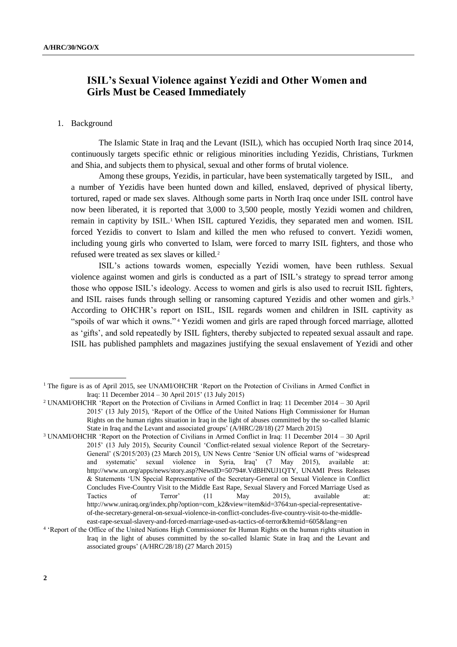## **ISIL's Sexual Violence against Yezidi and Other Women and Girls Must be Ceased Immediately**

### 1. Background

The Islamic State in Iraq and the Levant (ISIL), which has occupied North Iraq since 2014, continuously targets specific ethnic or religious minorities including Yezidis, Christians, Turkmen and Shia, and subjects them to physical, sexual and other forms of brutal violence.

Among these groups, Yezidis, in particular, have been systematically targeted by ISIL, and a number of Yezidis have been hunted down and killed, enslaved, deprived of physical liberty, tortured, raped or made sex slaves. Although some parts in North Iraq once under ISIL control have now been liberated, it is reported that 3,000 to 3,500 people, mostly Yezidi women and children, remain in captivity by ISIL.<sup>1</sup> When ISIL captured Yezidis, they separated men and women. ISIL forced Yezidis to convert to Islam and killed the men who refused to convert. Yezidi women, including young girls who converted to Islam, were forced to marry ISIL fighters, and those who refused were treated as sex slaves or killed.<sup>2</sup>

ISIL's actions towards women, especially Yezidi women, have been ruthless. Sexual violence against women and girls is conducted as a part of ISIL's strategy to spread terror among those who oppose ISIL's ideology. Access to women and girls is also used to recruit ISIL fighters, and ISIL raises funds through selling or ransoming captured Yezidis and other women and girls.<sup>3</sup> According to OHCHR's report on ISIL, ISIL regards women and children in ISIL captivity as "spoils of war which it owns." <sup>4</sup> Yezidi women and girls are raped through forced marriage, allotted as 'gifts', and sold repeatedly by ISIL fighters, thereby subjected to repeated sexual assault and rape. ISIL has published pamphlets and magazines justifying the sexual enslavement of Yezidi and other

- <sup>2</sup> UNAMI/OHCHR 'Report on the Protection of Civilians in Armed Conflict in Iraq: 11 December 2014 30 April 2015' (13 July 2015), 'Report of the Office of the United Nations High Commissioner for Human Rights on the human rights situation in Iraq in the light of abuses committed by the so-called Islamic State in Iraq and the Levant and associated groups' (A/HRC/28/18) (27 March 2015)
- <sup>3</sup> UNAMI/OHCHR 'Report on the Protection of Civilians in Armed Conflict in Iraq: 11 December 2014 30 April 2015' (13 July 2015), Security Council 'Conflict-related sexual violence Report of the Secretary-General' (S/2015/203) (23 March 2015), UN News Centre 'Senior UN official warns of 'widespread and systematic' sexual violence in Syria, Iraq' (7 May 2015), available at: http://www.un.org/apps/news/story.asp?NewsID=50794#.VdBHNUJ1QTY, UNAMI Press Releases & Statements 'UN Special Representative of the Secretary-General on Sexual Violence in Conflict Concludes Five-Country Visit to the Middle East Rape, Sexual Slavery and Forced Marriage Used as Tactics of Terror' (11 May 2015), available at: http://www.uniraq.org/index.php?option=com\_k2&view=item&id=3764:un-special-representativeof-the-secretary-general-on-sexual-violence-in-conflict-concludes-five-country-visit-to-the-middleeast-rape-sexual-slavery-and-forced-marriage-used-as-tactics-of-terror&Itemid=605&lang=en

<sup>&</sup>lt;sup>1</sup> The figure is as of April 2015, see UNAMI/OHCHR 'Report on the Protection of Civilians in Armed Conflict in Iraq: 11 December 2014 – 30 April 2015' (13 July 2015)

<sup>4</sup> 'Report of the Office of the United Nations High Commissioner for Human Rights on the human rights situation in Iraq in the light of abuses committed by the so-called Islamic State in Iraq and the Levant and associated groups' (A/HRC/28/18) (27 March 2015)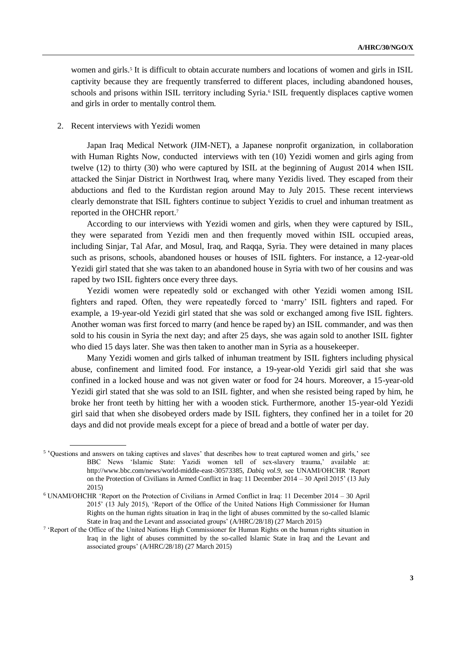women and girls.<sup>5</sup> It is difficult to obtain accurate numbers and locations of women and girls in ISIL captivity because they are frequently transferred to different places, including abandoned houses, schools and prisons within ISIL territory including Syria.<sup>6</sup> ISIL frequently displaces captive women and girls in order to mentally control them.

#### 2. Recent interviews with Yezidi women

Japan Iraq Medical Network (JIM-NET), a Japanese nonprofit organization, in collaboration with Human Rights Now, conducted interviews with ten (10) Yezidi women and girls aging from twelve (12) to thirty (30) who were captured by ISIL at the beginning of August 2014 when ISIL attacked the Sinjar District in Northwest Iraq, where many Yezidis lived. They escaped from their abductions and fled to the Kurdistan region around May to July 2015. These recent interviews clearly demonstrate that ISIL fighters continue to subject Yezidis to cruel and inhuman treatment as reported in the OHCHR report.<sup>7</sup>

According to our interviews with Yezidi women and girls, when they were captured by ISIL, they were separated from Yezidi men and then frequently moved within ISIL occupied areas, including Sinjar, Tal Afar, and Mosul, Iraq, and Raqqa, Syria. They were detained in many places such as prisons, schools, abandoned houses or houses of ISIL fighters. For instance, a 12-year-old Yezidi girl stated that she was taken to an abandoned house in Syria with two of her cousins and was raped by two ISIL fighters once every three days.

Yezidi women were repeatedly sold or exchanged with other Yezidi women among ISIL fighters and raped. Often, they were repeatedly forced to 'marry' ISIL fighters and raped. For example, a 19-year-old Yezidi girl stated that she was sold or exchanged among five ISIL fighters. Another woman was first forced to marry (and hence be raped by) an ISIL commander, and was then sold to his cousin in Syria the next day; and after 25 days, she was again sold to another ISIL fighter who died 15 days later. She was then taken to another man in Syria as a housekeeper.

Many Yezidi women and girls talked of inhuman treatment by ISIL fighters including physical abuse, confinement and limited food. For instance, a 19-year-old Yezidi girl said that she was confined in a locked house and was not given water or food for 24 hours. Moreover, a 15-year-old Yezidi girl stated that she was sold to an ISIL fighter, and when she resisted being raped by him, he broke her front teeth by hitting her with a wooden stick. Furthermore, another 15-year-old Yezidi girl said that when she disobeyed orders made by ISIL fighters, they confined her in a toilet for 20 days and did not provide meals except for a piece of bread and a bottle of water per day.

<sup>&</sup>lt;sup>5</sup> 'Questions and answers on taking captives and slaves' that describes how to treat captured women and girls,' see BBC News 'Islamic State: Yazidi women tell of sex-slavery trauma,' available at: http://www.bbc.com/news/world-middle-east-30573385*, Dabiq vol.9*, see UNAMI/OHCHR 'Report on the Protection of Civilians in Armed Conflict in Iraq: 11 December 2014 – 30 April 2015' (13 July 2015)

<sup>6</sup> UNAMI/OHCHR 'Report on the Protection of Civilians in Armed Conflict in Iraq: 11 December 2014 – 30 April 2015' (13 July 2015), 'Report of the Office of the United Nations High Commissioner for Human Rights on the human rights situation in Iraq in the light of abuses committed by the so-called Islamic State in Iraq and the Levant and associated groups' (A/HRC/28/18) (27 March 2015)

<sup>&</sup>lt;sup>7</sup> 'Report of the Office of the United Nations High Commissioner for Human Rights on the human rights situation in Iraq in the light of abuses committed by the so-called Islamic State in Iraq and the Levant and associated groups' (A/HRC/28/18) (27 March 2015)